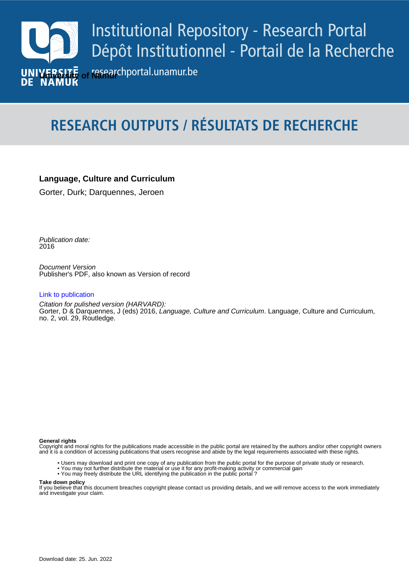

# **RESEARCH OUTPUTS / RÉSULTATS DE RECHERCHE**

# **Language, Culture and Curriculum**

Gorter, Durk; Darquennes, Jeroen

Publication date:<br><sup>2016</sup> 2016

> Document Version Publisher's PDF, also known as Version of record

## [Link to publication](https://researchportal.unamur.be/en/publications/466c2e98-0e2a-4f05-88ef-57e800f08479)

**Publication date - Date de publication :** Citation for pulished version (HARVARD): Gorter, D & Darquennes, J (eds) 2016, Language, Culture and Curriculum. Language, Culture and Curriculum, no. 2, vol. 29, Routledge.

### **General rights**

Copyright and moral rights for the publications made accessible in the public portal are retained by the authors and/or other copyright owners and it is a condition of accessing publications that users recognise and abide by the legal requirements associated with these rights.

- Users may download and print one copy of any publication from the public portal for the purpose of private study or research.
- You may not further distribute the material or use it for any profit-making activity or commercial gain
- You may freely distribute the URL identifying the publication in the public portal ?

#### **Take down policy**

If you believe that this document breaches copyright please contact us providing details, and we will remove access to the work immediately and investigate your claim.